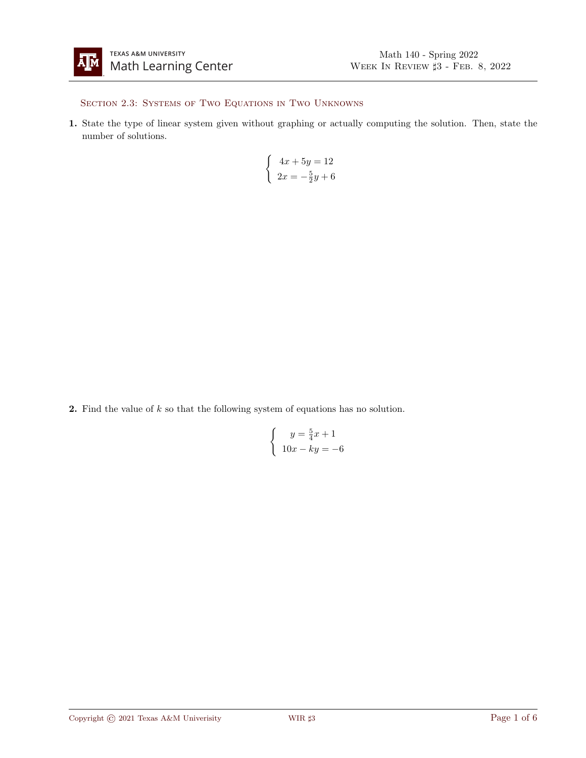

## SECTION 2.3: SYSTEMS OF TWO EQUATIONS IN TWO UNKNOWNS

1. State the type of linear system given without graphing or actually computing the solution. Then, state the number of solutions.

$$
\begin{cases}\n4x + 5y = 12 \\
2x = -\frac{5}{2}y + 6\n\end{cases}
$$

**2.** Find the value of  $k$  so that the following system of equations has no solution.

$$
\begin{cases}\n y = \frac{5}{4}x + 1 \\
 10x - ky = -6\n\end{cases}
$$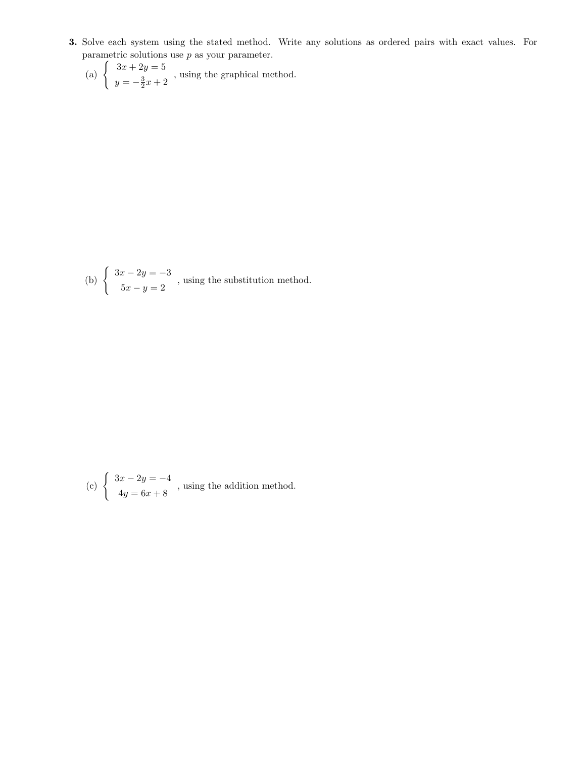- 3. Solve each system using the stated method. Write any solutions as ordered pairs with exact values. For parametric solutions use  $p$  as your parameter.
	- (a)  $\begin{cases} 3x + 2y = 5 \\ 2 \end{cases}$  $y = -\frac{3}{2}x + 2$ , using the graphical method.

(b) 
$$
\begin{cases} 3x - 2y = -3 \\ 5x - y = 2 \end{cases}
$$
, using the substitution method.

(c) 
$$
\begin{cases} 3x - 2y = -4 \\ 4y = 6x + 8 \end{cases}
$$
, using the addition method.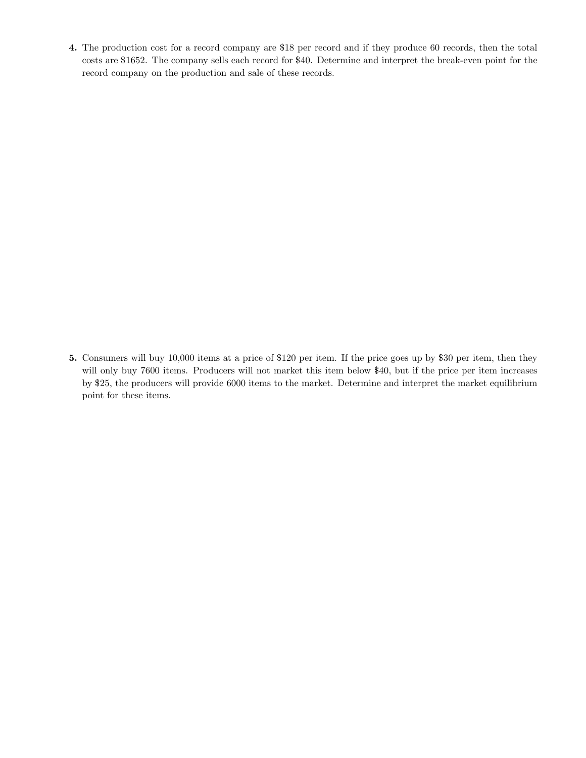4. The production cost for a record company are \$18 per record and if they produce 60 records, then the total costs are \$1652. The company sells each record for \$40. Determine and interpret the break-even point for the record company on the production and sale of these records.

5. Consumers will buy 10,000 items at a price of \$120 per item. If the price goes up by \$30 per item, then they will only buy 7600 items. Producers will not market this item below \$40, but if the price per item increases by \$25, the producers will provide 6000 items to the market. Determine and interpret the market equilibrium point for these items.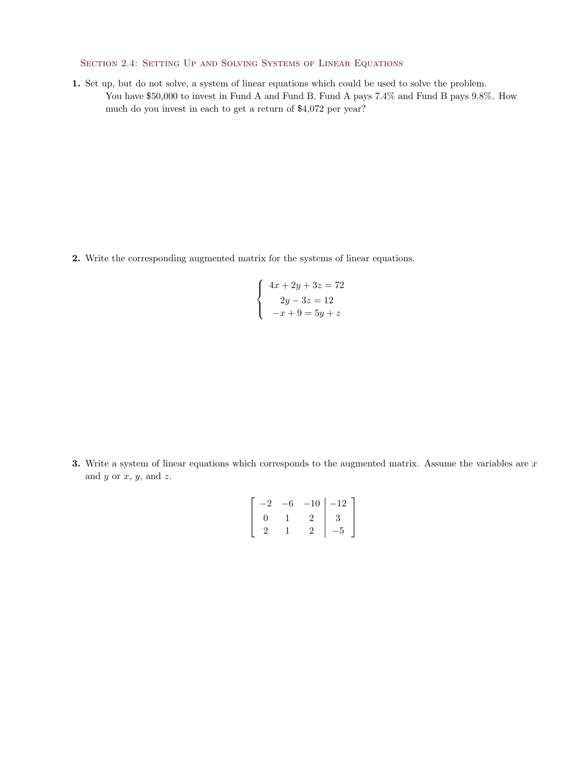SECTION 2.4: SETTING UP AND SOLVING SYSTEMS OF LINEAR EQUATIONS

1. Set up, but do not solve, a system of linear equations which could be used to solve the problem. You have \$50,000 to invest in Fund A and Fund B. Fund A pays 7.4% and Fund B pays 9.8%. How much do you invest in each to get a return of \$4,072 per year?

2. Write the corresponding augmented matrix for the systems of linear equations.

$$
\begin{cases}\n4x + 2y + 3z = 72 \\
2y - 3z = 12 \\
-x + 9 = 5y + z\n\end{cases}
$$

3. Write a system of linear equations which corresponds to the augmented matrix. Assume the variables are  $x$ and  $y$  or  $x$ ,  $y$ , and  $z$ .

$$
\left[\begin{array}{ccc|c}\n-2 & -6 & -10 & -12 \\
0 & 1 & 2 & 3 \\
2 & 1 & 2 & -5\n\end{array}\right]
$$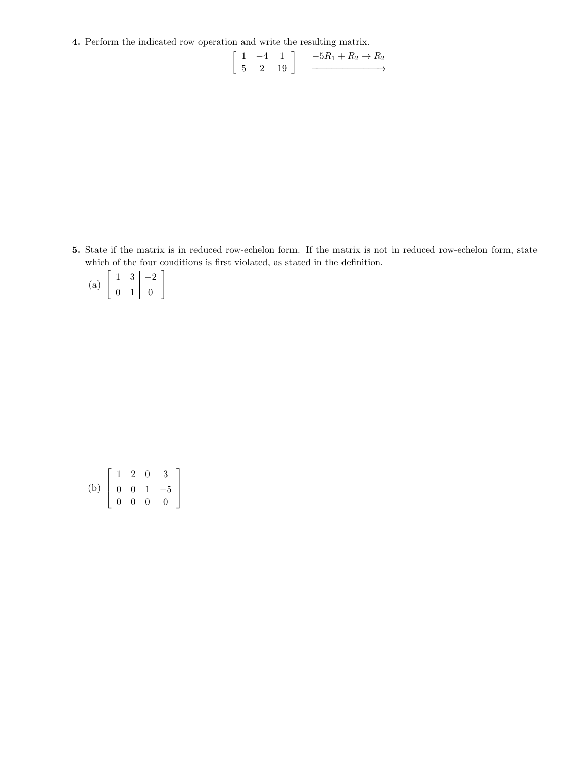4. Perform the indicated row operation and write the resulting matrix.

$$
\left[\begin{array}{cc} 1 & -4 \\ 5 & 2 \end{array}\right] \left[\begin{array}{c} 1 \\ 19 \end{array}\right] \longrightarrow \frac{-5R_1 + R_2 \rightarrow R_2}{\longrightarrow}
$$

5. State if the matrix is in reduced row-echelon form. If the matrix is not in reduced row-echelon form, state which of the four conditions is first violated, as stated in the definition.

| (a) |                   | 3 |  |
|-----|-------------------|---|--|
|     | $\mathbf{\Omega}$ |   |  |

(b) 
$$
\begin{bmatrix} 1 & 2 & 0 & 3 \ 0 & 0 & 1 & -5 \ 0 & 0 & 0 & 0 \end{bmatrix}
$$